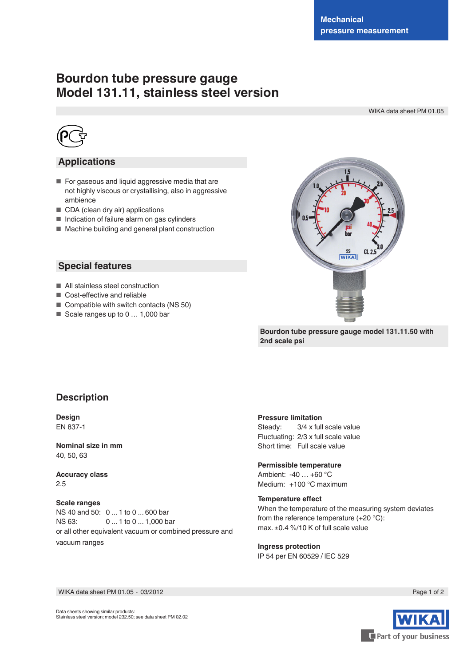# **Bourdon tube pressure gauge Model 131.11, stainless steel version**

WIKA data sheet PM 01.05



### **Applications**

- For gaseous and liquid aggressive media that are not highly viscous or crystallising, also in aggressive ambience
- CDA (clean dry air) applications
- Indication of failure alarm on gas cylinders
- Machine building and general plant construction

### **Special features**

- All stainless steel construction
- Cost-effective and reliable
- Compatible with switch contacts (NS 50)
- Scale ranges up to 0 ... 1,000 bar



**Bourdon tube pressure gauge model 131.11.50 with 2nd scale psi**

### **Description**

**Design** EN 837-1

**Nominal size in mm** 40, 50, 63

**Accuracy class** 2.5

**Scale ranges** NS 40 and 50: 0 ... 1 to 0 ... 600 bar NS 63: 0 ... 1 to 0 ... 1,000 bar or all other equivalent vacuum or combined pressure and vacuum ranges

#### **Pressure limitation**

Steady: 3/4 x full scale value Fluctuating: 2/3 x full scale value Short time: Full scale value

#### **Permissible temperature**

Ambient: -40 … +60 °C Medium: +100 °C maximum

**Temperature effect** When the temperature of the measuring system deviates from the reference temperature (+20 °C): max. ±0.4 %/10 K of full scale value

**Ingress protection** IP 54 per EN 60529 / lEC 529

Page 1 of 2



WIKA data sheet PM 01.05 ∙ 03/2012